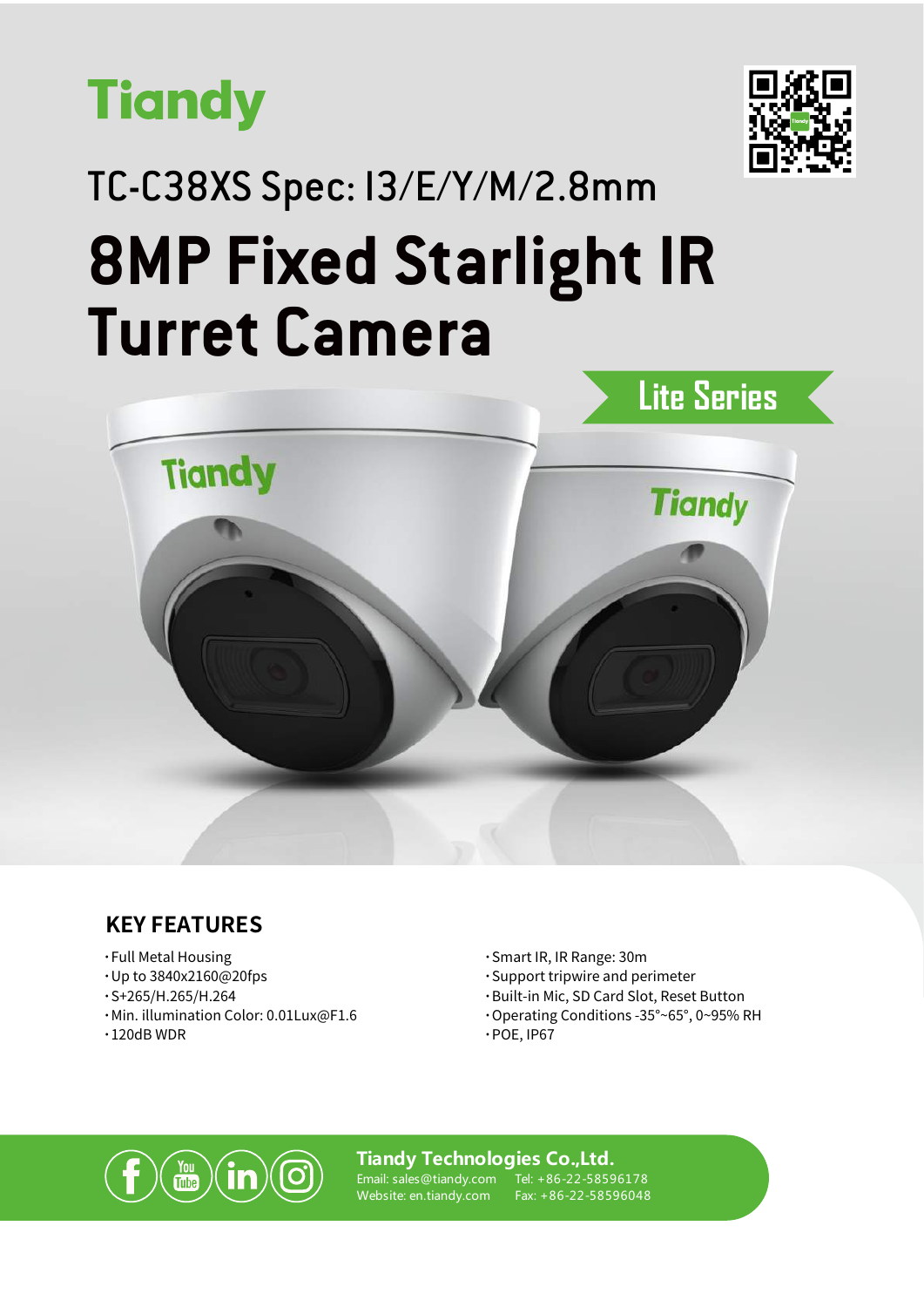



# TC-C38XS Spec: I3/E/Y/M/2.8mm **8MP Fixed Starlight IR Turret Camera**



### **KEY FEATURES**

- **·**Full Metal Housing
- **·**Up to 3840x2160@20fps
- **·**S+265/H.265/H.264
- **·**Min. illumination Color: 0.01Lux@F1.6
- **·**120dB WDR
- **·**Smart IR, IR Range: 30m
- **·**Support tripwire and perimeter
- **·**Built-in Mic, SD Card Slot, Reset Button
- **·**Operating Conditions -35°~65°, 0~95% RH

#### **·**POE, IP67



**Tiandy Technologies Co.,Ltd.**

Email: sales@tiandy.com Website: en.tiandy.com

Tel: +86-22-58596178 Fax: +86-22-58596048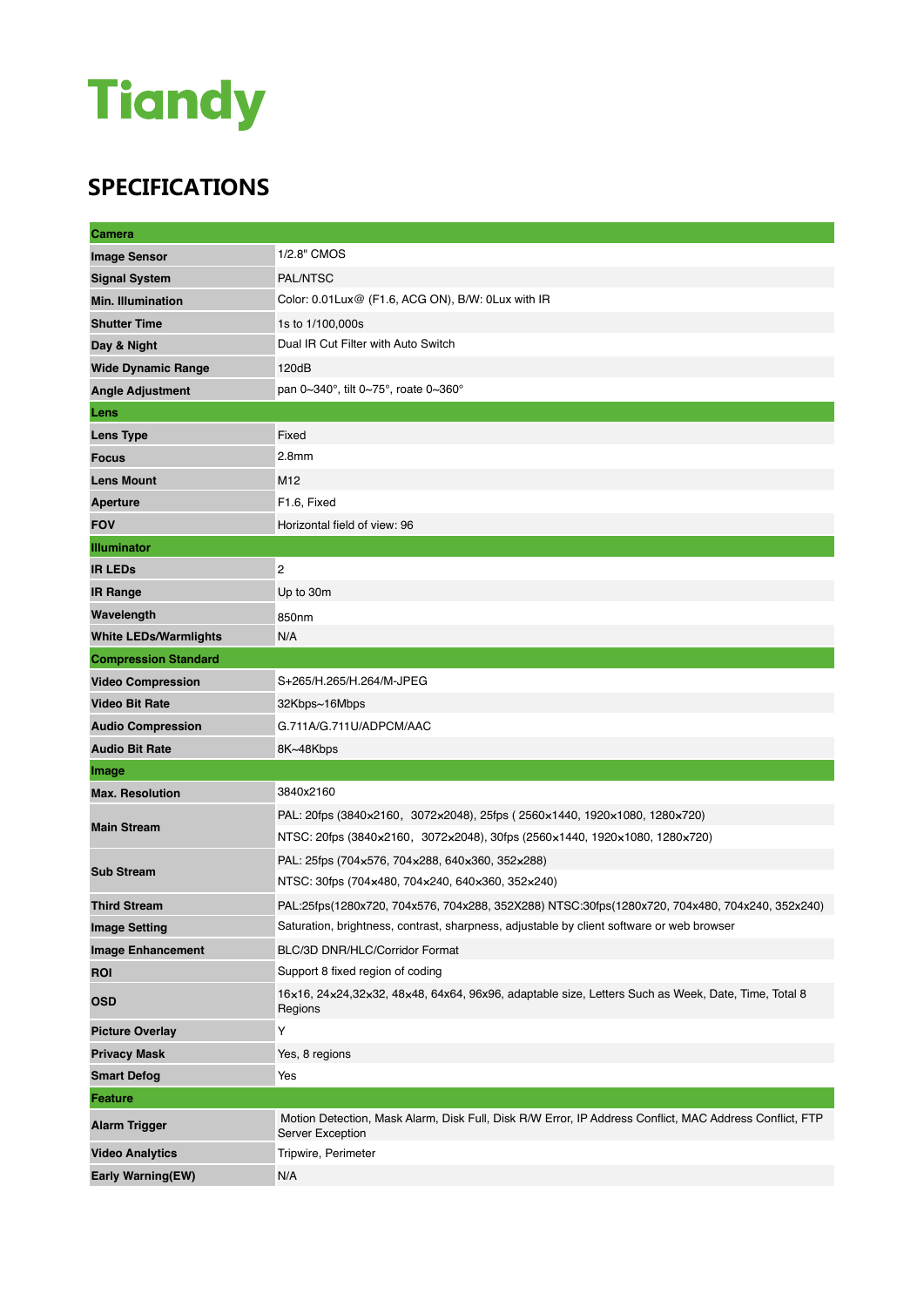## **Tiandy**

### **SPECIFICATIONS**

| Camera                       |                                                                                                                             |  |
|------------------------------|-----------------------------------------------------------------------------------------------------------------------------|--|
| <b>Image Sensor</b>          | 1/2.8" CMOS                                                                                                                 |  |
| <b>Signal System</b>         | PAL/NTSC                                                                                                                    |  |
| <b>Min. Illumination</b>     | Color: 0.01 Lux@ (F1.6, ACG ON), B/W: 0 Lux with IR                                                                         |  |
| <b>Shutter Time</b>          | 1s to 1/100,000s                                                                                                            |  |
| Day & Night                  | Dual IR Cut Filter with Auto Switch                                                                                         |  |
| <b>Wide Dynamic Range</b>    | 120dB                                                                                                                       |  |
| <b>Angle Adjustment</b>      | pan 0~340°, tilt 0~75°, roate 0~360°                                                                                        |  |
| Lens                         |                                                                                                                             |  |
| <b>Lens Type</b>             | Fixed                                                                                                                       |  |
| <b>Focus</b>                 | 2.8 <sub>mm</sub>                                                                                                           |  |
| <b>Lens Mount</b>            | M <sub>12</sub>                                                                                                             |  |
| <b>Aperture</b>              | F1.6, Fixed                                                                                                                 |  |
| <b>FOV</b>                   | Horizontal field of view: 96                                                                                                |  |
| <b>Illuminator</b>           |                                                                                                                             |  |
| <b>IR LEDS</b>               | 2                                                                                                                           |  |
| <b>IR Range</b>              | Up to 30m                                                                                                                   |  |
| Wavelength                   | 850nm                                                                                                                       |  |
| <b>White LEDs/Warmlights</b> | N/A                                                                                                                         |  |
| <b>Compression Standard</b>  |                                                                                                                             |  |
| <b>Video Compression</b>     | S+265/H.265/H.264/M-JPEG                                                                                                    |  |
| <b>Video Bit Rate</b>        | 32Kbps~16Mbps                                                                                                               |  |
| <b>Audio Compression</b>     | G.711A/G.711U/ADPCM/AAC                                                                                                     |  |
| <b>Audio Bit Rate</b>        | 8K~48Kbps                                                                                                                   |  |
| Image                        |                                                                                                                             |  |
| <b>Max. Resolution</b>       | 3840x2160                                                                                                                   |  |
| <b>Main Stream</b>           | PAL: 20fps (3840×2160, 3072×2048), 25fps (2560×1440, 1920×1080, 1280×720)                                                   |  |
|                              | NTSC: 20fps (3840×2160, 3072×2048), 30fps (2560×1440, 1920×1080, 1280×720)                                                  |  |
| <b>Sub Stream</b>            | PAL: 25fps (704x576, 704x288, 640x360, 352x288)                                                                             |  |
|                              | NTSC: 30fps (704×480, 704×240, 640×360, 352×240)                                                                            |  |
| <b>Third Stream</b>          | PAL:25fps(1280x720, 704x576, 704x288, 352X288) NTSC:30fps(1280x720, 704x480, 704x240, 352x240)                              |  |
| <b>Image Setting</b>         | Saturation, brightness, contrast, sharpness, adjustable by client software or web browser                                   |  |
| <b>Image Enhancement</b>     | BLC/3D DNR/HLC/Corridor Format                                                                                              |  |
| <b>ROI</b>                   | Support 8 fixed region of coding                                                                                            |  |
| <b>OSD</b>                   | 16×16, 24×24,32×32, 48×48, 64x64, 96x96, adaptable size, Letters Such as Week, Date, Time, Total 8<br>Regions               |  |
| <b>Picture Overlay</b>       | Υ                                                                                                                           |  |
| <b>Privacy Mask</b>          | Yes, 8 regions                                                                                                              |  |
| <b>Smart Defog</b>           | Yes                                                                                                                         |  |
| <b>Feature</b>               |                                                                                                                             |  |
| <b>Alarm Trigger</b>         | Motion Detection, Mask Alarm, Disk Full, Disk R/W Error, IP Address Conflict, MAC Address Conflict, FTP<br>Server Exception |  |
| <b>Video Analytics</b>       | Tripwire, Perimeter                                                                                                         |  |
| Early Warning(EW)            | N/A                                                                                                                         |  |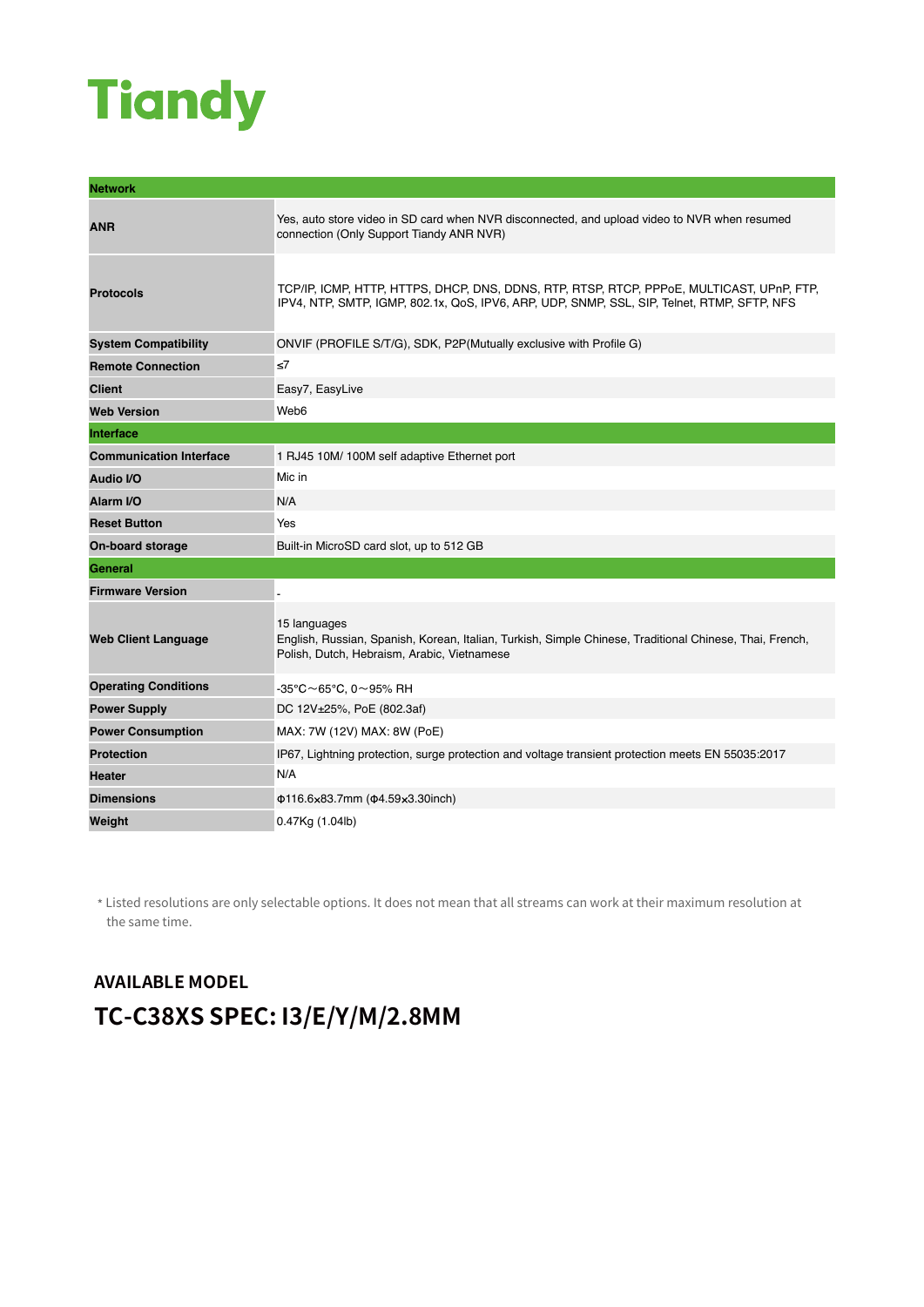## **Tiandy**

| <b>Network</b>                 |                                                                                                                                                                                          |
|--------------------------------|------------------------------------------------------------------------------------------------------------------------------------------------------------------------------------------|
| <b>ANR</b>                     | Yes, auto store video in SD card when NVR disconnected, and upload video to NVR when resumed<br>connection (Only Support Tiandy ANR NVR)                                                 |
| <b>Protocols</b>               | TCP/IP, ICMP, HTTP, HTTPS, DHCP, DNS, DDNS, RTP, RTSP, RTCP, PPPoE, MULTICAST, UPnP, FTP,<br>IPV4, NTP, SMTP, IGMP, 802.1x, QoS, IPV6, ARP, UDP, SNMP, SSL, SIP, Telnet, RTMP, SFTP, NFS |
| <b>System Compatibility</b>    | ONVIF (PROFILE S/T/G), SDK, P2P(Mutually exclusive with Profile G)                                                                                                                       |
| <b>Remote Connection</b>       | ≤7                                                                                                                                                                                       |
| <b>Client</b>                  | Easy7, EasyLive                                                                                                                                                                          |
| <b>Web Version</b>             | Web <sub>6</sub>                                                                                                                                                                         |
| Interface                      |                                                                                                                                                                                          |
| <b>Communication Interface</b> | 1 RJ45 10M/ 100M self adaptive Ethernet port                                                                                                                                             |
| <b>Audio I/O</b>               | Mic in                                                                                                                                                                                   |
| Alarm VO                       | N/A                                                                                                                                                                                      |
| <b>Reset Button</b>            | Yes                                                                                                                                                                                      |
| On-board storage               | Built-in MicroSD card slot, up to 512 GB                                                                                                                                                 |
| General                        |                                                                                                                                                                                          |
| <b>Firmware Version</b>        |                                                                                                                                                                                          |
| <b>Web Client Language</b>     | 15 languages<br>English, Russian, Spanish, Korean, Italian, Turkish, Simple Chinese, Traditional Chinese, Thai, French,<br>Polish, Dutch, Hebraism, Arabic, Vietnamese                   |
| <b>Operating Conditions</b>    | $-35^{\circ}$ C $\sim$ 65°C, 0 $\sim$ 95% RH                                                                                                                                             |
| <b>Power Supply</b>            | DC 12V±25%, PoE (802.3af)                                                                                                                                                                |
| <b>Power Consumption</b>       | MAX: 7W (12V) MAX: 8W (PoE)                                                                                                                                                              |
| <b>Protection</b>              | IP67, Lightning protection, surge protection and voltage transient protection meets EN 55035:2017                                                                                        |
| <b>Heater</b>                  | N/A                                                                                                                                                                                      |
| <b>Dimensions</b>              | Φ116.6×83.7mm (Φ4.59×3.30inch)                                                                                                                                                           |
| Weight                         | 0.47Kg (1.04lb)                                                                                                                                                                          |

\* Listed resolutions are only selectable options. It does not mean that all streams can work at their maximum resolution at the same time.

### **AVAILABLE MODEL TC-C38XS SPEC: I3/E/Y/M/2.8MM**